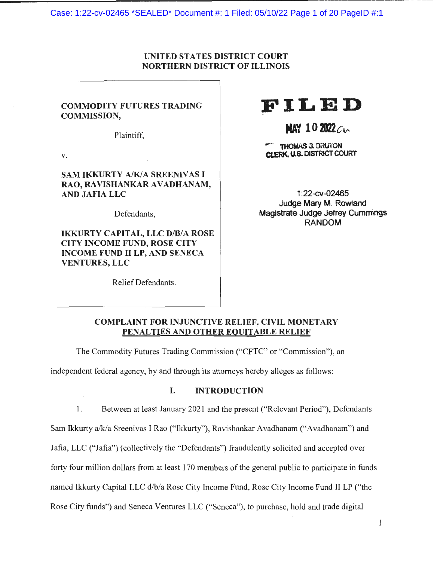Case: 1:22-cv-02465 \*SEALED\* Document #: 1 Filed: 05/10/22 Page 1 of 20 PageID #:1

#### UNITED STATES DISTRICT COURT NORTHERN DISTRICT OF ILLINOIS

#### COMMODITY FUTURES TRADING COMMISSION,

Plaintiff,

V.

#### **SAM IKKURTY A/K/A SREENIVAS I** RAO, RAVISHANKAR AVADHANAM, AND JAFIA LLC

Defendants,

IKKURTY CAPITAL, LLC D/B/A ROSE CITY INCOME FUND, ROSE CITY INCOME FUND II LP, AND SENECA VENTURES, LLC

Relief Defendants.

# **FILED**

## **MAY 10 2022** c v--

- - **THOMAS** G. BRUTON **CLERK. U.S.** DISTRICT COURT

1 :22-cv-02465 Judge Mary M. Rowland **Magistrate** Judge Jefrey Cummings **RANDOM** 

#### **COMPLAINT FOR INJUNCTIVE RELIEF, CIVIL MONETARY PENAL TIES AND OTHER EQUITABLE RELIEF**

The Commodity Futures Trading Commission ("CFTC" or "Commission"), an

independent federal agency, by and through its attorneys hereby alleges as follows:

#### I. **INTRODUCTION**

1. Between at least January 2021 and the present ("Relevant Period"), Defendants Sam Ikkurty a/k/a Sreenivas I Rao ("lkkurty"), Ravishankar Avadhanam ("Avadhanam") and Jafia, LLC ("Jafia") ( collectively the "Defendants") fraudulently solicited and accepted over forty four million dollars from at least 170 members of the general public to participate in funds named lkkurty Capital LLC d/b/a Rose City Income Fund, Rose City Income Fund II LP ("the Rose City funds") and Seneca Ventures LLC ("Seneca"), to purchase, hold and trade digital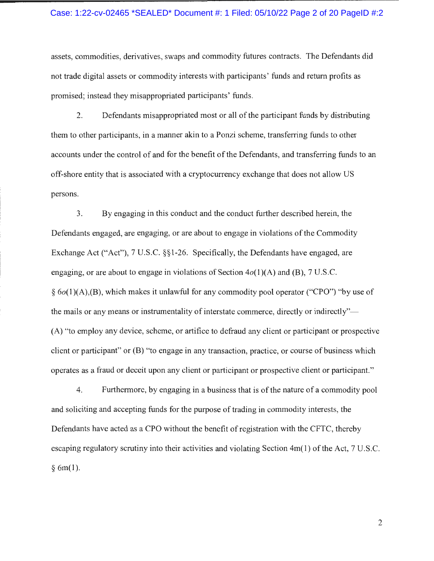#### Case: 1:22-cv-02465 \*SEALED\* Document #: 1 Filed: 05/10/22 Page 2 of 20 PageID #:2

assets, commodities, derivatives, swaps and commodity futures contracts. The Defendants did not trade digital assets or commodity interests with participants' funds and return profits as promised; instead they misappropriated participants' funds.

2. Defendants misappropriated most or all of the participant funds by distributing them to other participants, in a manner akin to a Ponzi scheme, transferring funds to other accounts under the control of and for the benefit of the Defendants, and transferring funds to an off-shore entity that is associated with a cryptocurrency exchange that does not allow US persons.

3. By engaging in this conduct and the conduct further described herein, the Defendants engaged, are engaging, or are about to engage in violations of the Commodity Exchange Act ("Act"), 7 U.S.C. §§1-26. Specifically, the Defendants have engaged, are engaging, or are about to engage in violations of Section  $4o(1)(A)$  and (B), 7 U.S.C.  $§ 6o(1)(A),(B)$ , which makes it unlawful for any commodity pool operator ("CPO") "by use of the mails or any means or instrumentality of interstate commerce, directly or indirectly"-(A) "to employ any device, scheme, or artifice to defraud any client or participant or prospective client or participant" or (B) "to engage in any transaction, practice, or course of business which operates as a fraud or deceit upon any client or participant or prospective client or participant."

4. Furthermore, by engaging in a business that is of the nature of a commodity pool and soliciting and accepting funds for the purpose of trading in commodity interests, the Defendants have acted as a CPO without the benefit of registration with the CFTC, thereby escaping regulatory scrutiny into their activities and violating Section 4m(1) of the Act, 7 U.S.C.  $§ 6m(1).$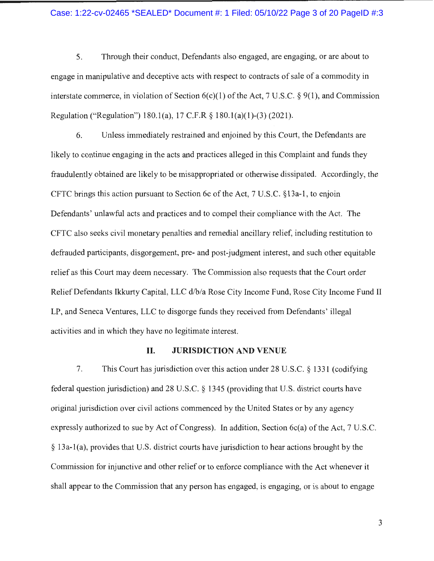#### Case: 1:22-cv-02465 \*SEALED\* Document #: 1 Filed: 05/10/22 Page 3 of 20 PageID #:3

5. Through their conduct, Defendants also engaged, are engaging, or are about to engage in manipulative and deceptive acts with respect to contracts of sale of a commodity in interstate commerce, in violation of Section 6(c)(l) of the Act, 7 U.S.C. § 9(1), and Commission Regulation ("Regulation") 180.1(a), 17 C.F.R  $\S$  180.1(a)(1)-(3) (2021).

6. Unless immediately restrained and enjoined by this Court, the Defendants are likely to continue engaging in the acts and practices alleged in this Complaint and funds they fraudulently obtained are likely to be misappropriated or otherwise dissipated. Accordingly, the CFTC brings this action pursuant to Section 6c of the Act, 7 U.S.C. §13a-1, to enjoin Defendants' unlawful acts and practices and to compel their compliance with the Act. The CFTC also seeks civil monetary penalties and remedial ancillary relief, including restitution to defrauded participants, disgorgement, pre- and post-judgment interest, and such other equitable relief as this Court may deem necessary. The Commission also requests that the Court order Relief Defendants Ikkurty Capital, LLC d/b/a Rose City Income Fund, Rose City Income Fund II LP, and Seneca Ventures, LLC to disgorge funds they received from Defendants' illegal activities and in which they have no legitimate interest.

#### **II. JURISDICTION AND VENUE**

7. This Court has jurisdiction over this action under 28 U.S.C. § 1331 (codifying federal question jurisdiction) and 28 U.S.C. § 1345 (providing that U.S. district courts have original jurisdiction over civil actions commenced by the United States or by any agency expressly authorized to sue by Act of Congress). In addition, Section 6c(a) of the Act, 7 U.S.C. § 13a-l(a), provides that U.S. district courts have jurisdiction to hear actions brought by the Commission for injunctive and other relief or to enforce compliance with the Act whenever it shall appear to the Commission that any person has engaged, is engaging, or is about to engage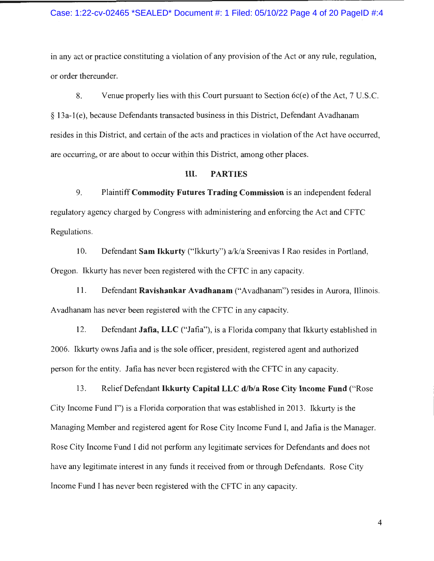#### Case: 1:22-cv-02465 \*SEALED\* Document #: 1 Filed: 05/10/22 Page 4 of 20 PageID #:4

in any act or practice constituting a violation of any provision of the Act or any rule, regulation, or order thereunder.

8. Venue properly lies with this Court pursuant to Section 6c(e) of the Act, 7 U.S.C. § 13a-l(e), because Defendants transacted business in this District, Defendant Avadhanam resides in this District, and certain of the acts and practices in violation of the Act have occurred, are occurring, or are about to occur within this District, among other places.

#### **III. PARTIES**

9. Plaintiff **Commodity Futures Trading Commission** is an independent federal regulatory agency charged by Congress with administering and enforcing the Act and CFTC Regulations.

10. Defendant **Sam Ikkurty** ("Ikkurty") a/k/a Sreenivas I Rao resides in Portland, Oregon. Ikkurty has never been registered with the CFTC in any capacity.

11. Defendant **Ravishankar A vadhanam** ("A vadhanam") resides in Aurora, Illinois. A vadhanam has never been registered with the CFTC in any capacity.

12. Defendant **Jafia, LLC** ("Jafia"), is a Florida company that Ikkurty established in 2006. lkkurty owns Jafia and is the sole officer, president, registered agent and authorized person for the entity. Jafia has never been registered with the CFTC in any capacity.

13. Relief Defendant **Ikkurty Capital LLC d/b/a Rose City Income Fund** ("Rose City Income Fund I") is a Florida corporation that was established in 2013. lkkurty is the Managing Member and registered agent for Rose City Income Fund I, and Jafia is the Manager. Rose City Income Fund I did not perform any legitimate services for Defendants and does not have any legitimate interest in any funds it received from or through Defendants. Rose City Income Fund I has never been registered with the CFTC in any capacity.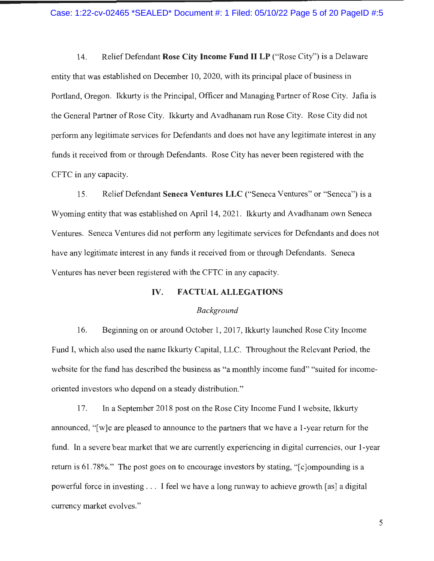14. Relief Defendant **Rose City Income Fund II LP** ("Rose City") is a Delaware entity that was established on December 10, 2020, with its principal place of business in Portland, Oregon. Ikkurty is the Principal, Officer and Managing Partner of Rose City. Jafia is the General Partner of Rose City. Ikkurty and Avadhanam run Rose City. Rose City did not perform any legitimate services for Defendants and does not have any legitimate interest in any funds it received from or through Defendants. Rose City has never been registered with the CFTC in any capacity.

15. Relief Defendant **Seneca Ventures LLC** ("Seneca Ventures" or "Seneca") is a Wyoming entity that was established on April 14, 2021. Ikkurty and Avadhanam own Seneca Ventures. Seneca Ventures did not perform any legitimate services for Defendants and does not have any legitimate interest in any funds it received from or through Defendants. Seneca Ventures has never been registered with the CFTC in any capacity.

#### **IV. FACTUAL ALLEGATIONS**

#### *Background*

16. Beginning on or around October 1, 2017, Ikkurty launched Rose City Income Fund I, which also used the name Ikkurty Capital, LLC. Throughout the Relevant Period, the website for the fund has described the business as "a monthly income fund" "suited for incomeoriented investors who depend on a steady distribution."

17. In a September 2018 post on the Rose City Income Fund I website, lkkurty announced, "[w] e are pleased to announce to the partners that we have a 1-year return for the fund. In a severe bear market that we are currently experiencing in digital currencies, our 1-year return is 61.78%." The post goes on to encourage investors by stating, "[c]ompounding is a powerful force in investing . . . I feel we have a long runway to achieve growth [as] a digital currency market evolves."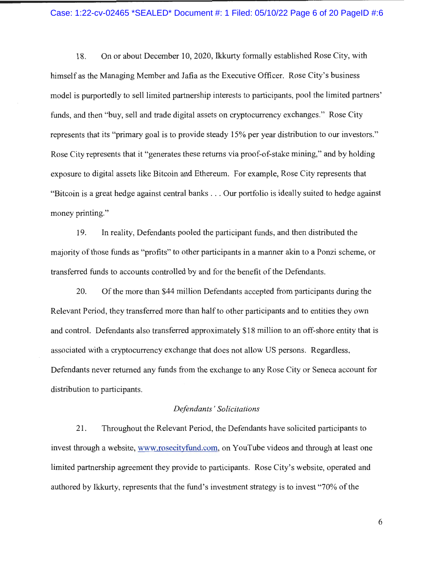#### Case: 1:22-cv-02465 \*SEALED\* Document #: 1 Filed: 05/10/22 Page 6 of 20 PageID #:6

18. On or about December 10, 2020, Ikkurty formally established Rose City, with himself as the Managing Member and Jafia as the Executive Officer. Rose City's business model is purportedly to sell limited partnership interests to participants, pool the limited partners' funds, and then "buy, sell and trade digital assets on cryptocurrency exchanges." Rose City represents that its "primary goal is to provide steady 15% per year distribution to our investors." Rose City represents that it "generates these returns via proof-of-stake mining," and by holding exposure to digital assets like Bitcoin and Ethereum. For example, Rose City represents that "Bitcoin is a great hedge against central banks . .. Our portfolio is ideally suited to hedge against money printing."

19. In reality, Defendants pooled the participant funds, and then distributed the majority of those funds as "profits" to other participants in a manner akin to a Ponzi scheme, or transferred funds to accounts controlled by and for the benefit of the Defendants.

20. Of the more than \$44 million Defendants accepted from participants during the Relevant Period, they transferred more than half to other participants and to entities they own and control. Defendants also transferred approximately \$18 million to an off-shore entity that is associated with a cryptocurrency exchange that does not allow US persons. Regardless, Defendants never returned any funds from the exchange to any Rose City or Seneca account for distribution to participants.

#### *Def endants* ' *Solicitations*

21 . Throughout the Relevant Period, the Defendants have solicited participants to invest through a website, www.rosecityfund.com, on YouTube videos and through at least one limited partnership agreement they provide to participants. Rose City's website, operated and authored by Ikkurty, represents that the fund's investment strategy is to invest "70% of the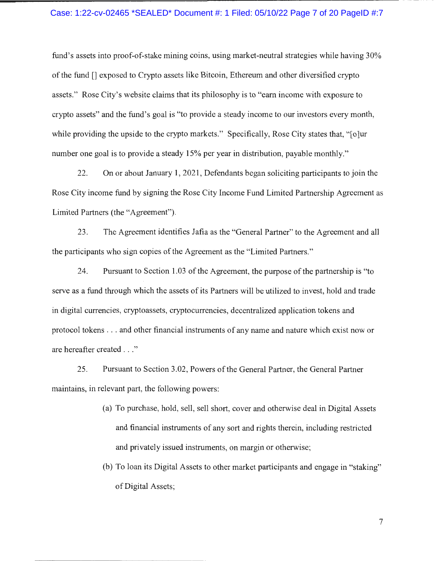#### Case: 1:22-cv-02465 \*SEALED\* Document #: 1 Filed: 05/10/22 Page 7 of 20 PageID #:7

fund's assets into proof-of-stake mining coins, using market-neutral strategies while having 30% of the fund [] exposed to Crypto assets like Bitcoin, Ethereum and other diversified crypto assets." Rose City's website claims that its philosophy is to "earn income with exposure to crypto assets" and the fund 's goal is "to provide a steady income to our investors every month, while providing the upside to the crypto markets." Specifically, Rose City states that, "[o]ur number one goal is to provide a steady 15% per year in distribution, payable monthly."

22. On or about January 1, 2021, Defendants began soliciting participants to join the Rose City income fund by signing the Rose City Income Fund Limited Partnership Agreement as Limited Partners (the "Agreement").

23. The Agreement identifies Jafia as the "General Partner" to the Agreement and all the participants who sign copies of the Agreement as the "Limited Partners."

24. Pursuant to Section 1.03 of the Agreement, the purpose of the partnership is "to serve as a fund through which the assets of its Partners will be utilized to invest, hold and trade in digital currencies, cryptoassets, cryptocurrencies, decentralized application tokens and protocol tokens ... and other financial instruments of any name and nature which exist now or are hereafter created ... "

25. Pursuant to Section 3.02, Powers of the General Partner, the General Partner maintains, in relevant part, the following powers:

- (a) To purchase, hold, sell, sell short, cover and otherwise deal in Digital Assets and financial instruments of any sort and rights therein, including restricted and privately issued instruments, on margin or otherwise;
- (b) To loan its Digital Assets to other market participants and engage in "staking" of Digital Assets;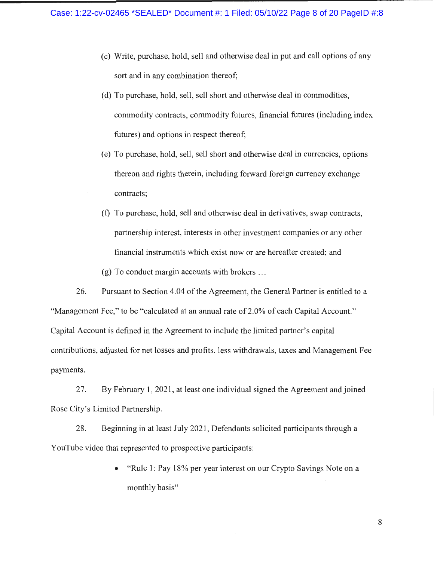- (c) Write, purchase, hold, sell and otherwise deal in put and call options of any sort and in any combination thereof;
- (d) To purchase, hold, sell, sell short and otherwise deal in commodities, commodity contracts, commodity futures, financial futures (including index futures) and options in respect thereof;
- (e) To purchase, hold, sell, sell short and otherwise deal in currencies, options thereon and rights therein, including forward foreign currency exchange contracts;
- (f) To purchase, hold, sell and otherwise deal in derivatives, swap contracts, partnership interest, interests in other investment companies or any other financial instruments which exist now or are hereafter created; and

(g) To conduct margin accounts with brokers ...

26. Pursuant to Section 4.04 of the Agreement, the General Partner is entitled to a "Management Fee," to be "calculated at an annual rate of 2.0% of each Capital Account." Capital Account is defined in the Agreement to include the limited partner's capital contributions, adjusted for net losses and profits, less withdrawals, taxes and Management Fee payments.

27. By February I, 2021 , at least one individual signed the Agreement and joined Rose City's Limited Partnership.

28. Beginning in at least July 2021, Defendants solicited participants through a YouTube video that represented to prospective participants:

> • "Rule 1: Pay 18% per year interest on our Crypto Savings Note on a monthly basis"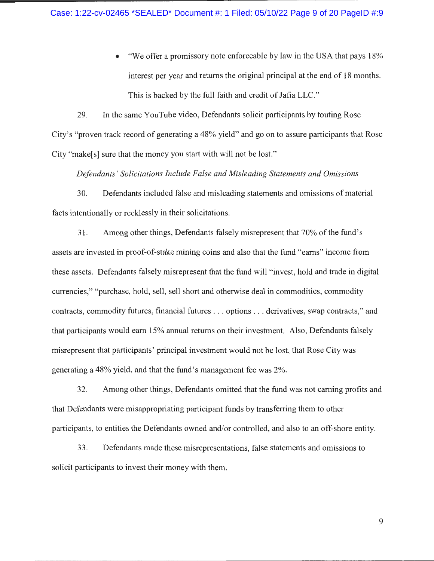• "We offer a promissory note enforceable by law in the USA that pays 18% interest per year and returns the original principal at the end of 18 months. This is backed by the full faith and credit of Jafia LLC."

29. In the same Y ouTube video, Defendants solicit participants by touting Rose City's "proven track record of generating a 48% yield" and go on to assure participants that Rose City "make[s] sure that the money you start with will not be lost."

*Defendants' Solicitations Include False and Misleading Statements and Omissions* 

30. Defendants included false and misleading statements and omissions of material facts intentionally or recklessly in their solicitations.

31. Among other things, Defendants falsely misrepresent that 70% of the fund's assets are invested in proof-of-stake mining coins and also that the fund "earns" income from these assets. Defendants falsely misrepresent that the fund will "invest, hold and trade in digital currencies," "purchase, hold, sell, sell short and otherwise deal in commodities, commodity contracts, commodity futures, financial futures ... options ... derivatives, swap contracts," and that participants would earn 15% annual returns on their investment. Also, Defendants falsely misrepresent that participants' principal investment would not be lost, that Rose City was generating a 48% yield, and that the fund's management fee was 2%.

32. Among other things, Defendants omitted that the fund was not earning profits and that Defendants were misappropriating participant funds by transferring them to other participants, to entities the Defendants owned and/or controlled, and also to an off-shore entity.

33. Defendants made these misrepresentations, false statements and omissions to solicit participants to invest their money with them.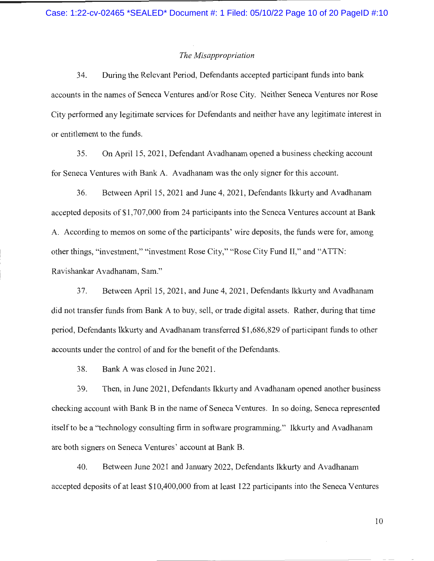#### *The Misappropriation*

34. During the Relevant Period, Defendants accepted participant funds into bank accounts in the names of Seneca Ventures and/or Rose City. Neither Seneca Ventures nor Rose City performed any legitimate services for Defendants and neither have any legitimate interest in or entitlement to the funds.

35. On April 15, 2021, Defendant Avadhanam opened a business checking account for Seneca Ventures with Bank A. A vadhanam was the only signer for this account.

36. Between April 15, 2021 and June 4, 2021, Defendants lkkurty and Avadhanam accepted deposits of \$1 ,707,000 from 24 participants into the Seneca Ventures account at Bank A. According to memos on some of the participants' wire deposits, the funds were for, among other things, "investment," "investment Rose City," "Rose City Fund II," and "ATTN: Ravishankar Avadhanam, Sam."

37. Between April 15, 2021 , and June 4, 2021 , Defendants lkkurty and Avadhanam did not transfer funds from Bank A to buy, sell, or trade digital assets. Rather, during that time period, Defendants lkkurty and A vadhanam transferred \$1 ,686,829 of participant funds to other accounts under the control of and for the benefit of the Defendants.

38. Bank A was closed in June 2021.

39. Then, in June 2021 , Defendants lkkurty and Avadhanam opened another business checking account with Bank B in the name of Seneca Ventures. In so doing, Seneca represented itself to be a "technology consulting firm in software programming." Ikkurty and Avadhanam are both signers on Seneca Ventures' account at Bank B.

40. Between June 2021 and January 2022, Defendants lkkurty and Avadhanam accepted deposits of at least \$10,400,000 from at least 122 participants into the Seneca Ventures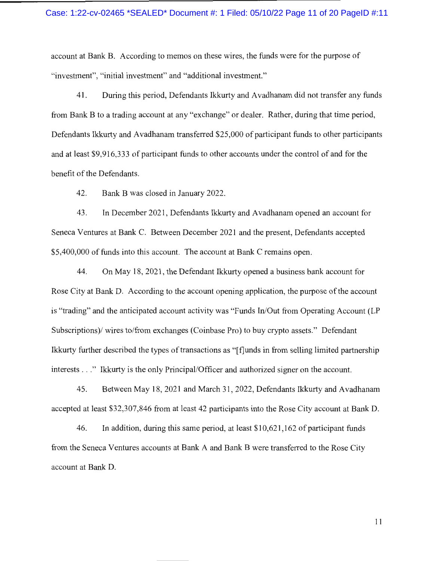#### Case: 1:22-cv-02465 \*SEALED\* Document #: 1 Filed: 05/10/22 Page 11 of 20 PageID #:11

account at Bank B. According to memos on these wires, the funds were for the purpose of "investment", "initial investment" and "additional investment."

41. During this period, Defendants Ikkurty and A vadhanam did not transfer any funds from Bank B to a trading account at any "exchange" or dealer. Rather, during that time period, Defendants Ikkurty and Avadhanam transferred \$25,000 of participant funds to other participants and at least \$9,916,333 of participant funds to other accounts under the control of and for the benefit of the Defendants.

42. Bank B was closed in January 2022.

43. In December 2021, Defendants Ikkurty and A vadhanam opened an account for Seneca Ventures at Bank C. Between December 2021 and the present, Defendants accepted \$5,400,000 of funds into this account. The account at Bank C remains open.

44. On May 18, 2021 , the Defendant lkkurty opened a business bank account for Rose City at Bank D. According to the account opening application, the purpose of the account is "trading" and the anticipated account activity was "Funds In/Out from Operating Account (LP Subscriptions)/ wires to/from exchanges (Coinbase Pro) to buy crypto assets." Defendant Ikkurty further described the types of transactions as "[ fJunds in from selling limited partnership interests ... " Ikkurty is the only Principal/Officer and authorized signer on the account.

45. Between May 18, 2021 and March 31, 2022, Defendants lkkurty and Avadhanam accepted at least \$32,307,846 from at least 42 participants into the Rose City account at Bank D.

46. In addition, during this same period, at least \$10,621,162 of participant funds from the Seneca Ventures accounts at Bank A and Bank B were transferred to the Rose City account at Bank D.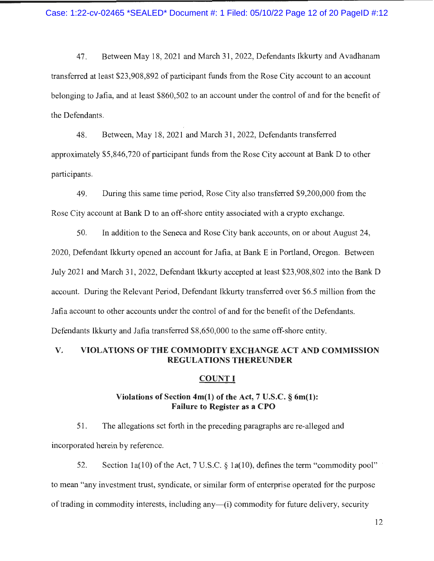4 7. Between May 18, 2021 and March 31 , 2022, Defendants Ikkurty and A vadhanam transferred at least \$23,908,892 of participant funds from the Rose City account to an account belonging to Jafia, and at least \$860,502 to an account under the control of and for the benefit of the Defendants.

48. Between, May 18, 2021 and March 31 , 2022, Defendants transferred approximately \$5,846,720 of participant funds from the Rose City account at Bank D to other participants.

49. During this same time period, Rose City also transferred \$9,200,000 from the Rose City account at Bank D to an off-shore entity associated with a crypto exchange.

50. In addition to the Seneca and Rose City bank accounts, on or about August 24, 2020, Defendant Ikkurty opened an account for Jafia, at Bank E in Portland, Oregon. Between July 2021 and March 31 , 2022, Defendant Ikkurty accepted at least \$23,908,802 into the Bank **D**  account. During the Relevant Period, Defendant Ikkurty transferred over \$6.5 million from the Jafia account to other accounts under the control of and for the benefit of the Defendants. Defendants lkkurty and Jafia transferred \$8,650,000 to the same off-shore entity.

#### **V. VIOLATIONS OF THE COMMODITY EXCHANGE ACT AND COMMISSION REGULATIONS THEREUNDER**

#### **COUNTI**

#### **Violations of Section 4m(l) of the Act, 7 U.S.C. § 6m(l): Failure to Register as a CPO**

51. The allegations set forth in the preceding paragraphs are re-alleged and incorporated herein by reference.

52. Section 1a(10) of the Act, 7 U.S.C.  $\S$  1a(10), defines the term "commodity pool" to mean "any investment trust, syndicate, or similar form of enterprise operated for the purpose of trading in commodity interests, including any—(i) commodity for future delivery, security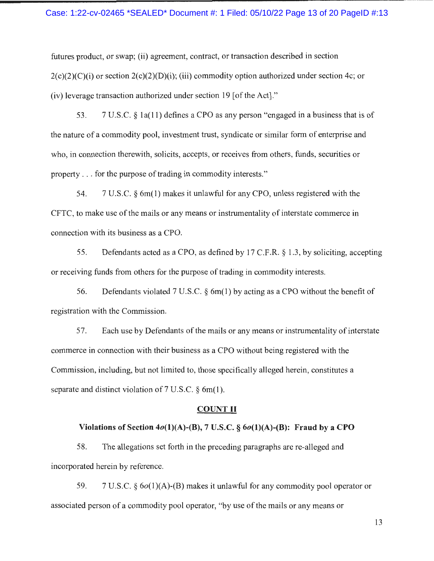#### Case: 1:22-cv-02465 \*SEALED\* Document #: 1 Filed: 05/10/22 Page 13 of 20 PageID #:13

futures product, or swap; (ii) agreement, contract, or transaction described in section  $2(c)(2)(c)(i)$  or section  $2(c)(2)(D)(i)$ ; (iii) commodity option authorized under section 4c; or (iv) leverage transaction authorized under section 19 [of the Act]."

53. 7 U.S.C. § l a(l **1)** defines a CPO as any person "engaged in a business that is of the nature of a commodity pool, investment trust, syndicate or similar form of enterprise and who, in connection therewith, solicits, accepts, or receives from others, funds, securities or property ... for the purpose of trading in commodity interests."

54. 7 U.S.C. § 6m(l) makes it unlawful for any CPO, unless registered with the CFTC, to make use of the mails or any means or instrumentality of interstate commerce in connection with its business as a CPO.

55. Defendants acted as a CPO, as defined by 17 C.F.R. § 1.3, by soliciting, accepting or receiving funds from others for the purpose of trading in commodity interests.

56. Defendants violated 7 U.S.C. § 6m(l) by acting as a CPO without the benefit of registration with the Commission.

57. Each use by Defendants of the mails or any means or instrumentality of interstate commerce in connection with their business as a CPO without being registered with the Commission, including, but not limited to, those specifically alleged herein, constitutes a separate and distinct violation of  $7 \text{ U.S.C. } \S$  6m(1).

#### **COUNT II**

#### Violations of Section  $4o(1)(A)$ -(B), 7 U.S.C.  $\S$   $6o(1)(A)$ -(B): Fraud by a CPO

58. The allegations set forth in the preceding paragraphs are re-alleged and incorporated herein by reference.

59. 7 U.S.C.  $\S 6o(1)(A)$ -(B) makes it unlawful for any commodity pool operator or associated person of a commodity pool operator, "by use of the mails or any means or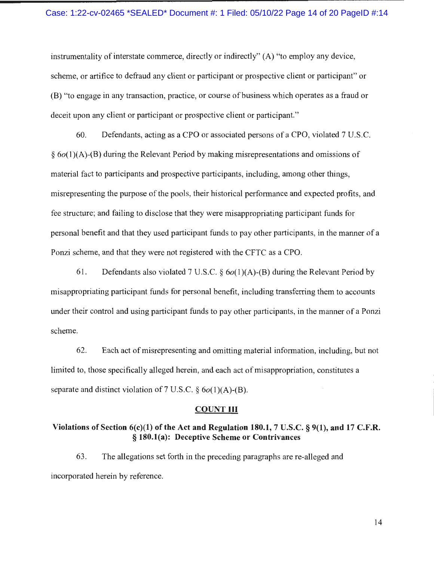#### Case: 1:22-cv-02465 \*SEALED\* Document #: 1 Filed: 05/10/22 Page 14 of 20 PageID #:14

instrumentality of interstate commerce, directly or indirectly" (A) "to employ any device, scheme, or artifice to defraud any client or participant or prospective client or participant" or (B) "to engage in any transaction, practice, or course of business which operates as a fraud or deceit upon any client or participant or prospective client or participant."

60. Defendants, acting as a CPO or associated persons of a CPO, violated 7 U .S.C.  $§ 6o(1)(A)-(B)$  during the Relevant Period by making misrepresentations and omissions of material fact to participants and prospective participants, including, among other things, misrepresenting the purpose of the pools, their historical performance and expected profits, and fee structure; and failing to disclose that they were misappropriating participant funds for personal benefit and that they used participant funds to pay other participants, in the manner of a Ponzi scheme, and that they were not registered with the CFTC as a CPO.

61. Defendants also violated 7 U.S.C.  $\S$  6o(1)(A)-(B) during the Relevant Period by misappropriating participant funds for personal benefit, including transferring them to accounts under their control and using participant funds to pay other participants, in the manner of a Ponzi scheme.

62. Each act of misrepresenting and omitting material information, including, but not limited to, those specifically alleged herein, and each act of misappropriation, constitutes a separate and distinct violation of 7 U.S.C.  $\S$  6o(1)(A)-(B).

#### **COUNTIII**

#### **Violations of Section 6(c)(l) of the Act and Regulation 180.1, 7 U.S.C. § 9(1), and 17 C.F.R.**  § **180.l(a): Deceptive Scheme or Contrivances**

63. The allegations set forth in the preceding paragraphs are re-alleged and incorporated herein by reference.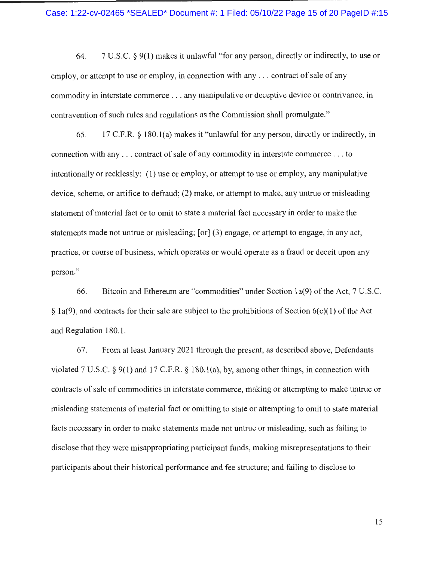#### Case: 1:22-cv-02465 \*SEALED\* Document #: 1 Filed: 05/10/22 Page 15 of 20 PageID #:15

64. 7 U.S.C. § 9(1) makes it unlawful "for any person, directly or indirectly, to use or employ, or attempt to use or employ, in connection with any ... contract of sale of any commodity in interstate commerce .. . any manipulative or deceptive device or contrivance, in contravention of such rules and regulations as the Commission shall promulgate."

65 . 17 C.F.R. § 180.1 (a) makes it "unlawful for any person, directly or indirectly, in connection with any ... contract of sale of any commodity in interstate commerce ... to intentionally or recklessly: (1) use or employ, or attempt to use or employ, any manipulative device, scheme, or artifice to defraud; (2) make, or attempt to make, any untrue or misleading statement of material fact or to omit to state a material fact necessary in order to make the statements made not untrue or misleading; [or] (3) engage, or attempt to engage, in any act, practice, or course of business, which operates or would operate as a fraud or deceit upon any person."

66. Bitcoin and Ethereum are "commodities" under Section la(9) of the Act, 7 U.S.C.  $\S$  1a(9), and contracts for their sale are subject to the prohibitions of Section 6(c)(1) of the Act and Regulation 180.1.

67. From at least January 2021 through the present, as described above, Defendants violated 7 U.S.C. § 9(1) and 17 C.F.R. § 180.l(a), by, among other things, in connection with contracts of sale of commodities in interstate commerce, making or attempting to make untrue or misleading statements of material fact or omitting to state or attempting to omit to state material facts necessary in order to make statements made not untrue or misleading, such as failing to disclose that they were misappropriating participant funds, making misrepresentations to their participants about their historical performance and fee structure; and failing to disclose to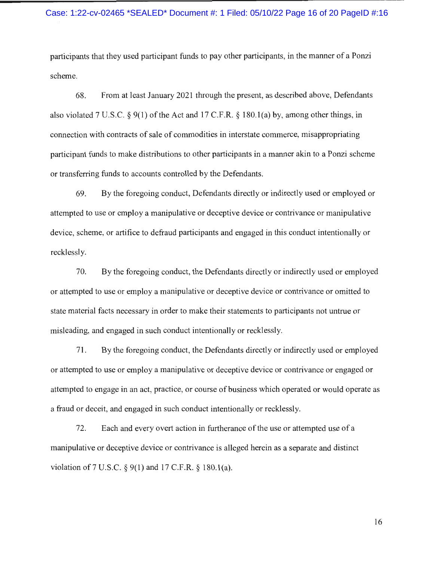#### Case: 1:22-cv-02465 \*SEALED\* Document #: 1 Filed: 05/10/22 Page 16 of 20 PageID #:16

participants that they used participant funds to pay other participants, in the manner of a Ponzi scheme.

68. From at least January 2021 through the present, as described above, Defendants also violated 7 U.S.C.  $\S 9(1)$  of the Act and 17 C.F.R.  $\S 180.1(a)$  by, among other things, in connection with contracts of sale of commodities in interstate commerce, misappropriating participant funds to make distributions to other participants in a manner akin to a Ponzi scheme or transferring funds to accounts controlled by the Defendants.

69. By the foregoing conduct, Defendants directly or indirectly used or employed or attempted to use or employ a manipulative or deceptive device or contrivance or manipulative device, scheme, or artifice to defraud participants and engaged in this conduct intentionally or recklessly.

70. By the foregoing conduct, the Defendants directly or indirectly used or employed or attempted to use or employ a manipulative or deceptive device or contrivance or omitted to state material facts necessary in order to make their statements to participants not untrue or misleading, and engaged in such conduct intentionally or recklessly.

71 . By the foregoing conduct, the Defendants directly or indirectly used or employed or attempted to use or employ a manipulative or deceptive device or contrivance or engaged or attempted to engage in an act, practice, or course of business which operated or would operate as a fraud or deceit, and engaged in such conduct intentionally or recklessly.

72. Each and every overt action in furtherance of the use or attempted use of a manipulative or deceptive device or contrivance is alleged herein as a separate and distinct violation of 7 U.S.C.  $\S$  9(1) and 17 C.F.R.  $\S$  180.1(a).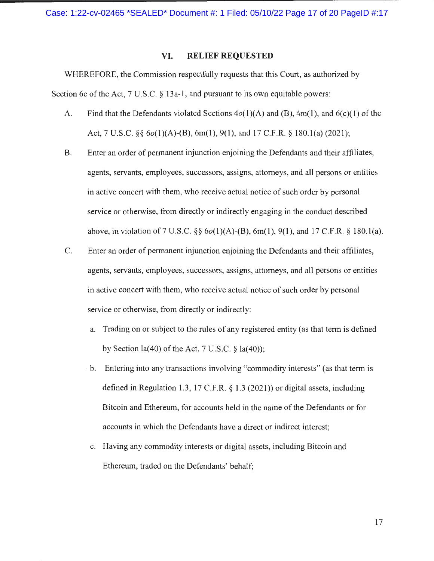Case: 1:22-cv-02465 \*SEALED\* Document #: 1 Filed: 05/10/22 Page 17 of 20 PageID #:17

#### **VI. RELIEF REQUESTED**

WHEREFORE, the Commission respectfully requests that this Court, as authorized by Section 6c of the Act, 7 U.S.C. § 13a-1, and pursuant to its own equitable powers:

- A. Find that the Defendants violated Sections  $4o(1)(A)$  and  $(B)$ , 4m(1), and  $6(c)(1)$  of the Act, 7 U.S.C. §§ 6 $o(1)(A)$ -(B), 6m(1), 9(1), and 17 C.F.R. § 180.1(a) (2021);
- B. Enter an order of permanent injunction enjoining the Defendants and their affiliates, agents, servants, employees, successors, assigns, attorneys, and all persons or entities in active concert with them, who receive actual notice of such order by personal service or otherwise, from directly or indirectly engaging in the conduct described above, in violation of 7 U.S.C. §§  $6o(1)(A)$ -(B), 6m(1), 9(1), and 17 C.F.R. § 180.1(a).
- C. Enter an order of permanent injunction enjoining the Defendants and their affiliates, agents, servants, employees, successors, assigns, attorneys, and all persons or entities in active concert with them, who receive actual notice of such order by personal service or otherwise, from directly or indirectly:
	- a. Trading on or subject to the rules of any registered entity (as that term is defined by Section  $la(40)$  of the Act, 7 U.S.C.  $\frac{1}{2}$   $la(40)$ ;
	- b. Entering into any transactions involving "commodity interests" (as that term is defined in Regulation 1.3, 17 C.F.R. § 1.3 (2021 )) or digital assets, including Bitcoin and Ethereum, for accounts held in the name of the Defendants or for accounts in which the Defendants have a direct or indirect interest;
	- c. Having any commodity interests or digital assets, including Bitcoin and Ethereum, traded on the Defendants' behalf;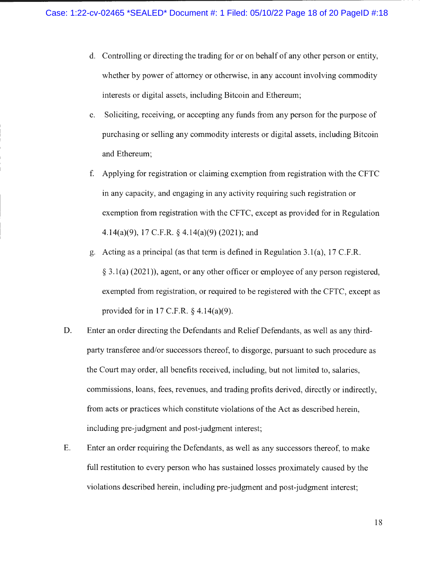- d. Controlling or directing the trading for or on behalf of any other person or entity, whether by power of attorney or otherwise, in any account involving commodity interests or digital assets, including Bitcoin and Ethereum;
- e. Soliciting, receiving, or accepting any funds from any person for the purpose of purchasing or selling any commodity interests or digital assets, including Bitcoin and Ethereum;
- f. Applying for registration or claiming exemption from registration with the CFTC in any capacity, and engaging in any activity requiring such registration or exemption from registration with the CFTC, except as provided for in Regulation 4.14(a)(9), 17 C.F.R. § 4.14(a)(9) (2021); and
- g. Acting as a principal (as that term is defined in Regulation 3. l(a), 17 C.F.R. § 3. l(a) (2021)), agent, or any other officer or employee of any person registered, exempted from registration, or required to be registered with the CFTC, except as provided for in 17 C.F.R. § 4.14(a)(9).
- D. Enter an order directing the Defendants and Relief Defendants, as well as any thirdparty transferee and/or successors thereof, to disgorge, pursuant to such procedure as the Court may order, all benefits received, including, but not limited to, salaries, commissions, loans, fees, revenues, and trading profits derived, directly or indirectly, from acts or practices which constitute violations of the Act as described herein, including pre-judgment and post-judgment interest;
- E. Enter an order requiring the Defendants, as well as any successors thereof, to make full restitution to every person who has sustained losses proximately caused by the violations described herein, including pre-judgment and post-judgment interest;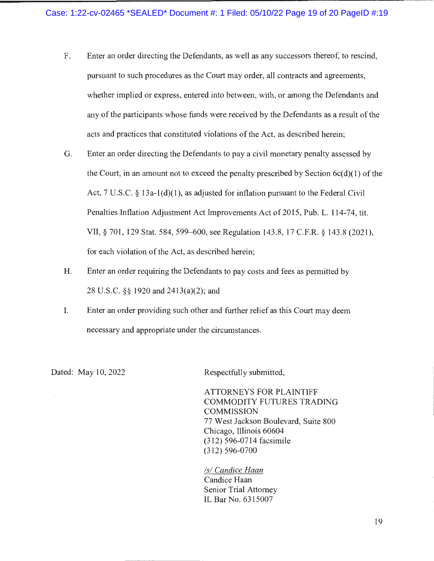- F. Enter an order directing the Defendants, as well as any successors thereof, to rescind, pursuant to such procedures as the Court may order, all contracts and agreements, whether implied or express, entered into between, with, or among the Defendants and any of the participants whose funds were received by the Defendants as a result of the acts and practices that constituted violations of the Act, as described herein;
- G. Enter an order directing the Defendants to pay a civil monetary penalty assessed by the Court, in an amount not to exceed the penalty prescribed by Section  $6c(d)(1)$  of the Act,  $7 \text{ U.S.C. }$   $\&$  13a-1(d)(1), as adjusted for inflation pursuant to the Federal Civil Penalties Inflation Adjustment Act Improvements Act of 2015, Pub. L. 114-74, tit. VII, § 701, 129 Stat. 584, 599–600, see Regulation 143.8, 17 C.F.R. § 143.8 (2021), for each violation of the Act, as described herein;
- H. Enter an order requiring the Defendants to pay costs and fees as permitted by 28 U.S.C. §§ 1920 and 2413(a)(2); and
- I. Enter an order providing such other and further relief as this Court may deem necessary and appropriate under the circumstances.

Dated: May 10, 2022 Respectfully submitted,

ATTORNEYS FOR PLAINTIFF COMMODITY FUTURES TRADING COMMISSION 77 West Jackson Boulevard, Suite 800 Chicago, Illinois 60604 (312) 596-0714 facsimile (312) 596-0700

*Isl Candice Haan*  Candice Haan Senior Trial Attorney IL Bar No. 6315007